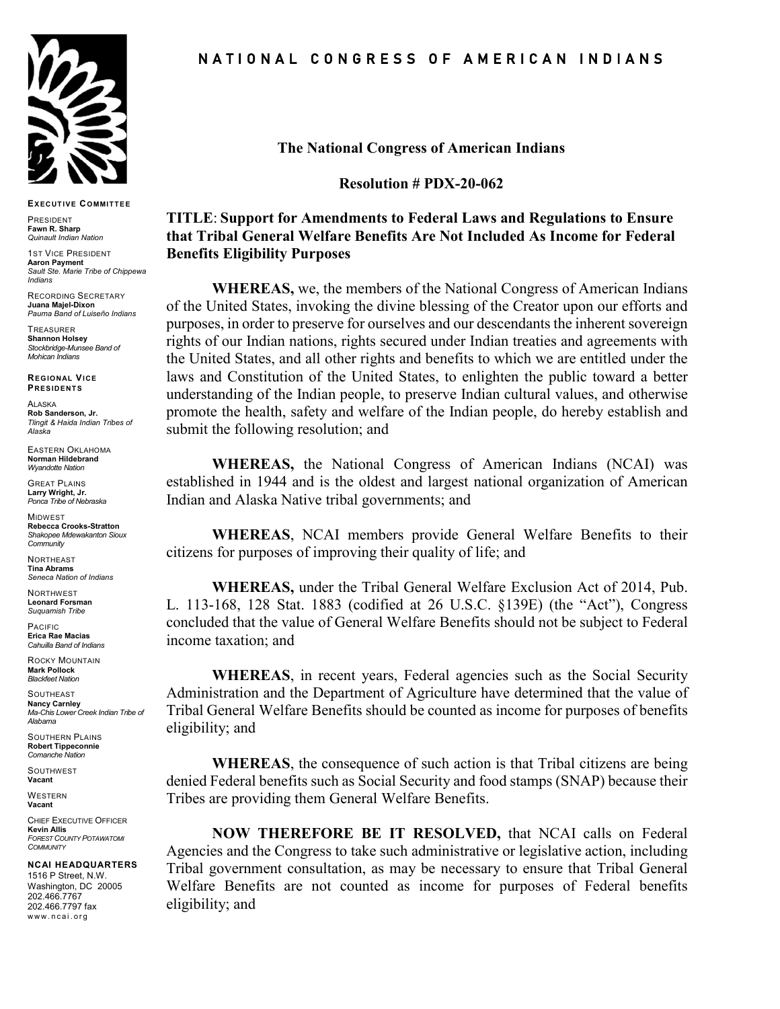

**EXECUTIVE COMMITTEE**

PRESIDENT **Fawn R. Sharp** *Quinault Indian Nation*

**1ST VICE PRESIDENT Aaron Payment** *Sault Ste. Marie Tribe of Chippewa Indians*

RECORDING SECRETARY **Juana Majel-Dixon** *Pauma Band of Luiseño Indians*

TREASURER **Shannon Holsey** *Stockbridge-Munsee Band of Mohican Indians*

**REGIONAL VICE PRESIDENTS**

ALASKA **Rob Sanderson, Jr.** *Tlingit & Haida Indian Tribes of Alaska*

EASTERN OKLAHOMA **Norman Hildebrand** *Wyandotte Nation*

GREAT PLAINS **Larry Wright, Jr.** *Ponca Tribe of Nebraska*

**MIDWEST Rebecca Crooks-Stratton** *Shakopee Mdewakanton Sioux Community*

**NORTHEAST Tina Abrams** *Seneca Nation of Indians*

NORTHWEST **Leonard Forsman** *Suquamish Tribe*

PACIFIC **Erica Rae Macias** *Cahuilla Band of Indians*

ROCKY MOUNTAIN **Mark Pollock** *Blackfeet Nation*

**SOUTHEAST Nancy Carnley** *Ma-Chis Lower Creek Indian Tribe of Alabama*

SOUTHERN PLAINS **Robert Tippeconnie** *Comanche Nation*

**SOUTHWEST Vacant**

**WESTERN Vacant**

CHIEF EXECUTIVE OFFICER **Kevin Allis** *FOREST COUNTY POTAWATOMI COMMUNITY*

**NCAI HEADQUARTERS**

1516 P Street, N.W. Washington, DC 20005 202.466.7767 202.466.7797 fax www.ncai.org

N A T I O N A L C O N G R E S S O F A M E R I C A N I N D I A N S

**The National Congress of American Indians**

**Resolution # PDX-20-062**

## **TITLE**: **Support for Amendments to Federal Laws and Regulations to Ensure that Tribal General Welfare Benefits Are Not Included As Income for Federal Benefits Eligibility Purposes**

**WHEREAS,** we, the members of the National Congress of American Indians of the United States, invoking the divine blessing of the Creator upon our efforts and purposes, in order to preserve for ourselves and our descendants the inherent sovereign rights of our Indian nations, rights secured under Indian treaties and agreements with the United States, and all other rights and benefits to which we are entitled under the laws and Constitution of the United States, to enlighten the public toward a better understanding of the Indian people, to preserve Indian cultural values, and otherwise promote the health, safety and welfare of the Indian people, do hereby establish and submit the following resolution; and

**WHEREAS,** the National Congress of American Indians (NCAI) was established in 1944 and is the oldest and largest national organization of American Indian and Alaska Native tribal governments; and

**WHEREAS**, NCAI members provide General Welfare Benefits to their citizens for purposes of improving their quality of life; and

**WHEREAS,** under the Tribal General Welfare Exclusion Act of 2014, Pub. L. 113-168, 128 Stat. 1883 (codified at 26 U.S.C. §139E) (the "Act"), Congress concluded that the value of General Welfare Benefits should not be subject to Federal income taxation; and

**WHEREAS**, in recent years, Federal agencies such as the Social Security Administration and the Department of Agriculture have determined that the value of Tribal General Welfare Benefits should be counted as income for purposes of benefits eligibility; and

**WHEREAS**, the consequence of such action is that Tribal citizens are being denied Federal benefits such as Social Security and food stamps (SNAP) because their Tribes are providing them General Welfare Benefits.

**NOW THEREFORE BE IT RESOLVED,** that NCAI calls on Federal Agencies and the Congress to take such administrative or legislative action, including Tribal government consultation, as may be necessary to ensure that Tribal General Welfare Benefits are not counted as income for purposes of Federal benefits eligibility; and